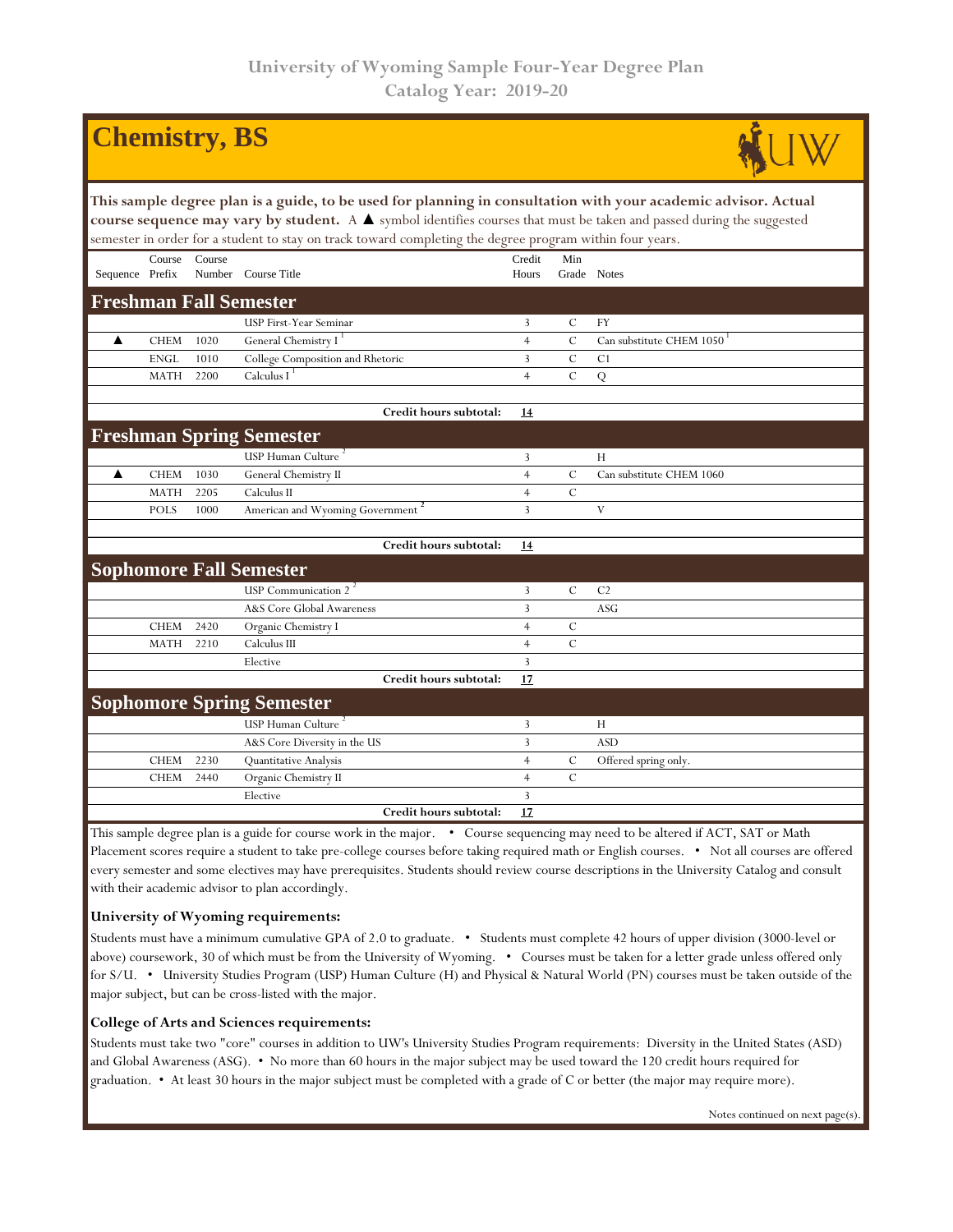|                                                                                                                                                                                                                                                                                                                                                                    |             | <b>Chemistry</b> , BS |                                                                                                                                                                 |                 |               |                          |  |  |  |  |  |
|--------------------------------------------------------------------------------------------------------------------------------------------------------------------------------------------------------------------------------------------------------------------------------------------------------------------------------------------------------------------|-------------|-----------------------|-----------------------------------------------------------------------------------------------------------------------------------------------------------------|-----------------|---------------|--------------------------|--|--|--|--|--|
| This sample degree plan is a guide, to be used for planning in consultation with your academic advisor. Actual<br>course sequence may vary by student. A $\blacktriangle$ symbol identifies courses that must be taken and passed during the suggested<br>semester in order for a student to stay on track toward completing the degree program within four years. |             |                       |                                                                                                                                                                 |                 |               |                          |  |  |  |  |  |
| Sequence Prefix                                                                                                                                                                                                                                                                                                                                                    | Course      | Course                | Number Course Title                                                                                                                                             | Credit<br>Hours | Min           | Grade Notes              |  |  |  |  |  |
| <b>Freshman Fall Semester</b>                                                                                                                                                                                                                                                                                                                                      |             |                       |                                                                                                                                                                 |                 |               |                          |  |  |  |  |  |
|                                                                                                                                                                                                                                                                                                                                                                    |             |                       | USP First-Year Seminar                                                                                                                                          | 3               | $\mathcal{C}$ | <b>FY</b>                |  |  |  |  |  |
| ▲                                                                                                                                                                                                                                                                                                                                                                  | <b>CHEM</b> | 1020                  | General Chemistry I <sup>1</sup>                                                                                                                                | $\overline{4}$  | $\mathbf C$   | Can substitute CHEM 1050 |  |  |  |  |  |
|                                                                                                                                                                                                                                                                                                                                                                    | <b>ENGL</b> | 1010                  | College Composition and Rhetoric                                                                                                                                | 3               | $\mathbf C$   | C <sub>1</sub>           |  |  |  |  |  |
|                                                                                                                                                                                                                                                                                                                                                                    | <b>MATH</b> | 2200                  | Calculus $I^{\perp}$                                                                                                                                            | $\overline{4}$  | $\mathcal{C}$ | $\overline{Q}$           |  |  |  |  |  |
|                                                                                                                                                                                                                                                                                                                                                                    |             |                       | Credit hours subtotal:                                                                                                                                          | 14              |               |                          |  |  |  |  |  |
| <b>Freshman Spring Semester</b>                                                                                                                                                                                                                                                                                                                                    |             |                       |                                                                                                                                                                 |                 |               |                          |  |  |  |  |  |
|                                                                                                                                                                                                                                                                                                                                                                    |             |                       | USP Human Culture <sup>2</sup>                                                                                                                                  | 3               |               | H                        |  |  |  |  |  |
| ▲                                                                                                                                                                                                                                                                                                                                                                  | <b>CHEM</b> | 1030                  | General Chemistry II                                                                                                                                            | $\overline{4}$  | $\mathbf C$   | Can substitute CHEM 1060 |  |  |  |  |  |
|                                                                                                                                                                                                                                                                                                                                                                    | <b>MATH</b> | 2205                  | Calculus II                                                                                                                                                     | $\overline{4}$  | $\mathcal{C}$ |                          |  |  |  |  |  |
|                                                                                                                                                                                                                                                                                                                                                                    | <b>POLS</b> | 1000                  | American and Wyoming Government <sup>2</sup>                                                                                                                    | $\overline{3}$  |               | V                        |  |  |  |  |  |
|                                                                                                                                                                                                                                                                                                                                                                    |             |                       |                                                                                                                                                                 |                 |               |                          |  |  |  |  |  |
|                                                                                                                                                                                                                                                                                                                                                                    |             |                       | Credit hours subtotal:                                                                                                                                          | 14              |               |                          |  |  |  |  |  |
|                                                                                                                                                                                                                                                                                                                                                                    |             |                       | <b>Sophomore Fall Semester</b>                                                                                                                                  |                 |               |                          |  |  |  |  |  |
|                                                                                                                                                                                                                                                                                                                                                                    |             |                       | USP Communication 2 <sup>2</sup>                                                                                                                                | 3               | $\mathcal{C}$ | C <sub>2</sub>           |  |  |  |  |  |
|                                                                                                                                                                                                                                                                                                                                                                    |             |                       | A&S Core Global Awareness                                                                                                                                       | 3               |               | ASG                      |  |  |  |  |  |
|                                                                                                                                                                                                                                                                                                                                                                    | <b>CHEM</b> | 2420                  | Organic Chemistry I                                                                                                                                             | $\overline{4}$  | $\mathcal{C}$ |                          |  |  |  |  |  |
|                                                                                                                                                                                                                                                                                                                                                                    | <b>MATH</b> | 2210                  | Calculus III                                                                                                                                                    | $\overline{4}$  | $\mathcal{C}$ |                          |  |  |  |  |  |
|                                                                                                                                                                                                                                                                                                                                                                    |             |                       | Elective                                                                                                                                                        | 3               |               |                          |  |  |  |  |  |
|                                                                                                                                                                                                                                                                                                                                                                    |             |                       | Credit hours subtotal:                                                                                                                                          | 17              |               |                          |  |  |  |  |  |
|                                                                                                                                                                                                                                                                                                                                                                    |             |                       | <b>Sophomore Spring Semester</b>                                                                                                                                |                 |               |                          |  |  |  |  |  |
|                                                                                                                                                                                                                                                                                                                                                                    |             |                       | USP Human Culture <sup>2</sup>                                                                                                                                  | 3               |               | H                        |  |  |  |  |  |
|                                                                                                                                                                                                                                                                                                                                                                    |             |                       | A&S Core Diversity in the US                                                                                                                                    | 3               |               | <b>ASD</b>               |  |  |  |  |  |
|                                                                                                                                                                                                                                                                                                                                                                    | <b>CHEM</b> | 2230                  | Quantitative Analysis                                                                                                                                           | $\overline{4}$  | $\mathcal{C}$ | Offered spring only.     |  |  |  |  |  |
|                                                                                                                                                                                                                                                                                                                                                                    | <b>CHEM</b> | 2440                  | Organic Chemistry II                                                                                                                                            | $\overline{4}$  | $\mathcal{C}$ |                          |  |  |  |  |  |
|                                                                                                                                                                                                                                                                                                                                                                    |             |                       | Elective                                                                                                                                                        | 3               |               |                          |  |  |  |  |  |
|                                                                                                                                                                                                                                                                                                                                                                    |             |                       | Credit hours subtotal:<br>This sample degree plan is a quide for course work in the major $\bullet$ Course sequencing may need to be altered if ACT SAT or Math | 17              |               |                          |  |  |  |  |  |

e degree plan is a guide for course work in the major. • Course sequencing may need to be altered if ACT, SAT or Math Placement scores require a student to take pre-college courses before taking required math or English courses. • Not all courses are offered every semester and some electives may have prerequisites. Students should review course descriptions in the University Catalog and consult with their academic advisor to plan accordingly.

## **University of Wyoming requirements:**

Students must have a minimum cumulative GPA of 2.0 to graduate. • Students must complete 42 hours of upper division (3000-level or above) coursework, 30 of which must be from the University of Wyoming. • Courses must be taken for a letter grade unless offered only for S/U. • University Studies Program (USP) Human Culture (H) and Physical & Natural World (PN) courses must be taken outside of the major subject, but can be cross-listed with the major.

## **College of Arts and Sciences requirements:**

Students must take two "core" courses in addition to UW's University Studies Program requirements: Diversity in the United States (ASD) and Global Awareness (ASG). • No more than 60 hours in the major subject may be used toward the 120 credit hours required for graduation. • At least 30 hours in the major subject must be completed with a grade of C or better (the major may require more).